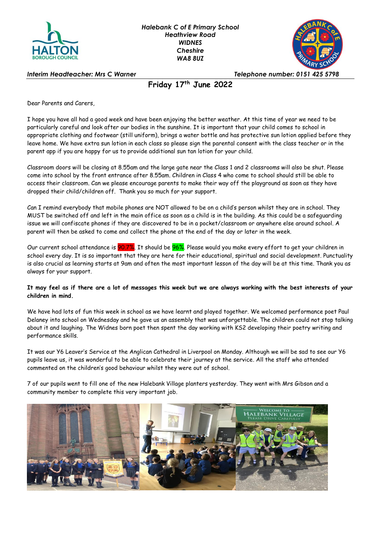



*Interim Headteacher: Mrs C Warner Telephone number: 0151 425 5798*

## **Friday 17 th June 2022**

Dear Parents and Carers,

I hope you have all had a good week and have been enjoying the better weather. At this time of year we need to be particularly careful and look after our bodies in the sunshine. It is important that your child comes to school in appropriate clothing and footwear (still uniform), brings a water bottle and has protective sun lotion applied before they leave home. We have extra sun lotion in each class so please sign the parental consent with the class teacher or in the parent app if you are happy for us to provide additional sun tan lotion for your child.

Classroom doors will be closing at 8.55am and the large gate near the Class 1 and 2 classrooms will also be shut. Please come into school by the front entrance after 8.55am. Children in Class 4 who come to school should still be able to access their classroom. Can we please encourage parents to make their way off the playground as soon as they have dropped their child/children off. Thank you so much for your support.

Can I remind everybody that mobile phones are NOT allowed to be on a child's person whilst they are in school. They MUST be switched off and left in the main office as soon as a child is in the building. As this could be a safeguarding issue we will confiscate phones if they are discovered to be in a pocket/classroom or anywhere else around school. A parent will then be asked to come and collect the phone at the end of the day or later in the week.

Our current school attendance is <mark>90.7%</mark>. It should be <mark>96%</mark>. Please would you make every effort to get your children in school every day. It is so important that they are here for their educational, spiritual and social development. Punctuality is also crucial as learning starts at 9am and often the most important lesson of the day will be at this time. Thank you as always for your support.

#### **It may feel as if there are a lot of messages this week but we are always working with the best interests of your children in mind.**

We have had lots of fun this week in school as we have learnt and played together. We welcomed performance poet Paul Delaney into school on Wednesday and he gave us an assembly that was unforgettable. The children could not stop talking about it and laughing. The Widnes born poet then spent the day working with KS2 developing their poetry writing and performance skills.

It was our Y6 Leaver's Service at the Anglican Cathedral in Liverpool on Monday. Although we will be sad to see our Y6 pupils leave us, it was wonderful to be able to celebrate their journey at the service. All the staff who attended commented on the children's good behaviour whilst they were out of school.

7 of our pupils went to fill one of the new Halebank Village planters yesterday. They went with Mrs Gibson and a community member to complete this very important job.